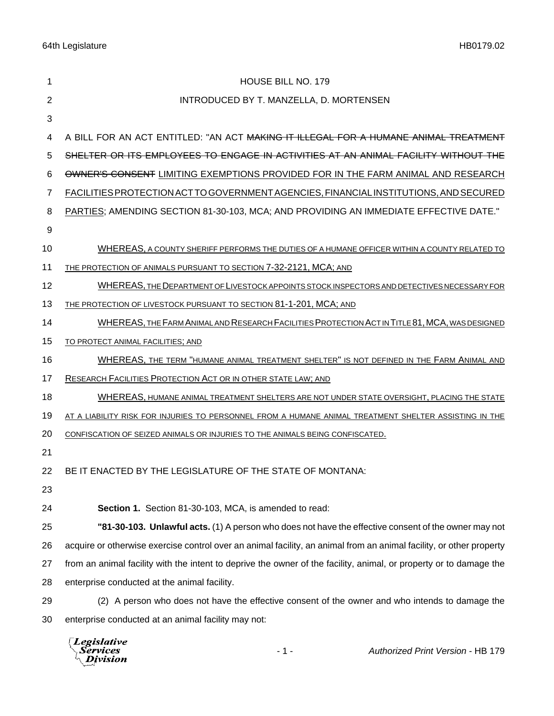64th Legislature HB0179.02

| 1  | <b>HOUSE BILL NO. 179</b>                                                                                           |
|----|---------------------------------------------------------------------------------------------------------------------|
| 2  | INTRODUCED BY T. MANZELLA, D. MORTENSEN                                                                             |
| 3  |                                                                                                                     |
| 4  | A BILL FOR AN ACT ENTITLED: "AN ACT <del>MAKING IT ILLEGAL FOR A HUMANE ANIMAL TREATMENT</del>                      |
| 5  | SHELTER OR ITS EMPLOYEES TO ENGAGE IN ACTIVITIES AT AN ANIMAL FACILITY WITHOUT THE                                  |
| 6  | OWNER'S CONSENT LIMITING EXEMPTIONS PROVIDED FOR IN THE FARM ANIMAL AND RESEARCH                                    |
| 7  | FACILITIES PROTECTION ACT TO GOVERNMENT AGENCIES, FINANCIAL INSTITUTIONS, AND SECURED                               |
| 8  | PARTIES; AMENDING SECTION 81-30-103, MCA; AND PROVIDING AN IMMEDIATE EFFECTIVE DATE."                               |
| 9  |                                                                                                                     |
| 10 | WHEREAS, A COUNTY SHERIFF PERFORMS THE DUTIES OF A HUMANE OFFICER WITHIN A COUNTY RELATED TO                        |
| 11 | THE PROTECTION OF ANIMALS PURSUANT TO SECTION 7-32-2121, MCA; AND                                                   |
| 12 | WHEREAS, THE DEPARTMENT OF LIVESTOCK APPOINTS STOCK INSPECTORS AND DETECTIVES NECESSARY FOR                         |
| 13 | THE PROTECTION OF LIVESTOCK PURSUANT TO SECTION 81-1-201, MCA; AND                                                  |
| 14 | WHEREAS, THE FARM ANIMAL AND RESEARCH FACILITIES PROTECTION ACT IN TITLE 81, MCA, WAS DESIGNED                      |
| 15 | TO PROTECT ANIMAL FACILITIES; AND                                                                                   |
| 16 | WHEREAS, THE TERM "HUMANE ANIMAL TREATMENT SHELTER" IS NOT DEFINED IN THE FARM ANIMAL AND                           |
| 17 | RESEARCH FACILITIES PROTECTION ACT OR IN OTHER STATE LAW; AND                                                       |
| 18 | WHEREAS, HUMANE ANIMAL TREATMENT SHELTERS ARE NOT UNDER STATE OVERSIGHT, PLACING THE STATE                          |
| 19 | AT A LIABILITY RISK FOR INJURIES TO PERSONNEL FROM A HUMANE ANIMAL TREATMENT SHELTER ASSISTING IN THE               |
| 20 | CONFISCATION OF SEIZED ANIMALS OR INJURIES TO THE ANIMALS BEING CONFISCATED.                                        |
| 21 |                                                                                                                     |
| 22 | BE IT ENACTED BY THE LEGISLATURE OF THE STATE OF MONTANA:                                                           |
| 23 |                                                                                                                     |
| 24 | Section 1. Section 81-30-103, MCA, is amended to read:                                                              |
| 25 | "81-30-103. Unlawful acts. (1) A person who does not have the effective consent of the owner may not                |
| 26 | acquire or otherwise exercise control over an animal facility, an animal from an animal facility, or other property |
| 27 | from an animal facility with the intent to deprive the owner of the facility, animal, or property or to damage the  |
| 28 | enterprise conducted at the animal facility.                                                                        |
| 29 | (2) A person who does not have the effective consent of the owner and who intends to damage the                     |
| 30 | enterprise conducted at an animal facility may not:                                                                 |

*Legislative*<br>Services<br>*Division*